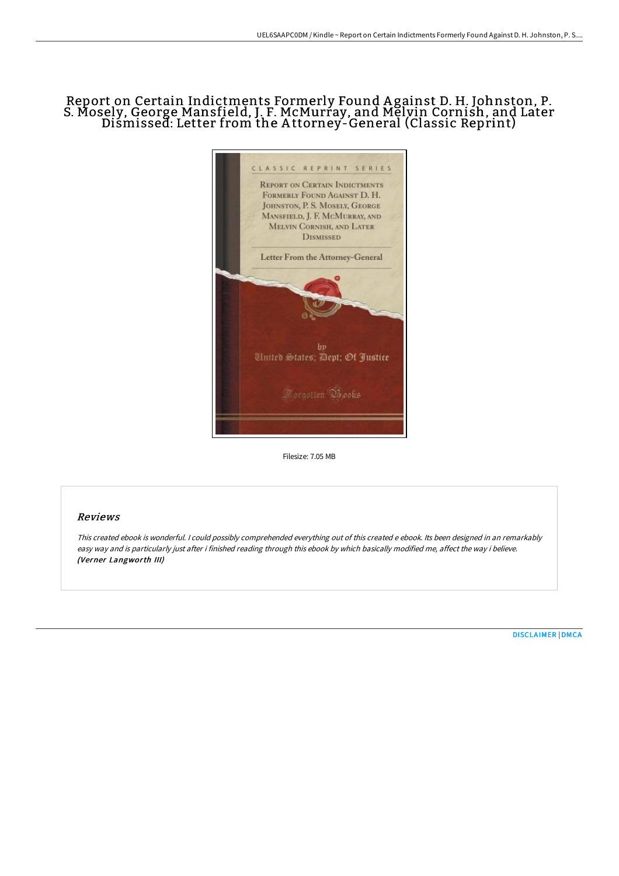## Report on Certain Indictments Formerly Found A gainst D. H. Johnston, P. S. Mosely, George Mansfield, J. F. McMurray, and Melvin Cornish, and Later Dismissed: Letter from the A ttorney-General (Classic Reprint)



Filesize: 7.05 MB

## Reviews

This created ebook is wonderful. <sup>I</sup> could possibly comprehended everything out of this created <sup>e</sup> ebook. Its been designed in an remarkably easy way and is particularly just after i finished reading through this ebook by which basically modified me, affect the way i believe. (Verner Langworth III)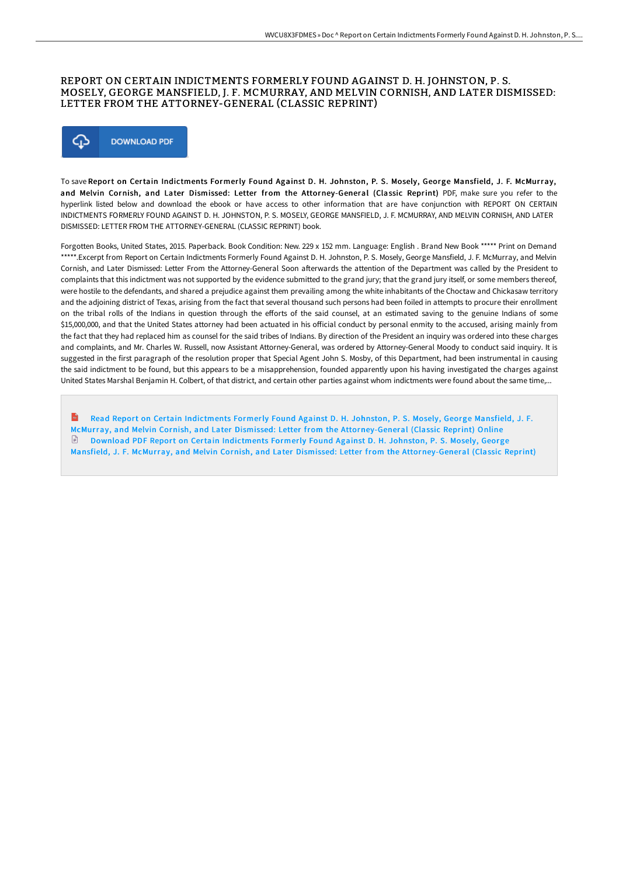## REPORT ON CERTAIN INDICTMENTS FORMERLY FOUND AGAINST D. H. JOHNSTON, P. S. MOSELY, GEORGE MANSFIELD, J. F. MCMURRAY, AND MELVIN CORNISH, AND LATER DISMISSED: LETTER FROM THE ATTORNEY-GENERAL (CLASSIC REPRINT)



To save Report on Certain Indictments Formerly Found Against D. H. Johnston, P. S. Mosely, George Mansfield, J. F. McMurray, and Melvin Cornish, and Later Dismissed: Letter from the Attorney-General (Classic Reprint) PDF, make sure you refer to the hyperlink listed below and download the ebook or have access to other information that are have conjunction with REPORT ON CERTAIN INDICTMENTS FORMERLY FOUND AGAINST D. H. JOHNSTON, P. S. MOSELY, GEORGE MANSFIELD, J. F. MCMURRAY, AND MELVIN CORNISH, AND LATER DISMISSED: LETTER FROM THE ATTORNEY-GENERAL (CLASSIC REPRINT) book.

Forgotten Books, United States, 2015. Paperback. Book Condition: New. 229 x 152 mm. Language: English . Brand New Book \*\*\*\*\* Print on Demand \*\*\*\*\*.Excerpt from Report on Certain Indictments Formerly Found Against D. H. Johnston, P. S. Mosely, George Mansfield, J. F. McMurray, and Melvin Cornish, and Later Dismissed: Letter From the Attorney-General Soon aHerwards the attention of the Department was called by the President to complaints that this indictment was not supported by the evidence submitted to the grand jury; that the grand jury itself, or some members thereof, were hostile to the defendants, and shared a prejudice against them prevailing among the white inhabitants of the Choctaw and Chickasaw territory and the adjoining district of Texas, arising from the fact that several thousand such persons had been foiled in attempts to procure their enrollment on the tribal rolls of the Indians in question through the efforts of the said counsel, at an estimated saving to the genuine Indians of some \$15,000,000, and that the United States attorney had been actuated in his official conduct by personal enmity to the accused, arising mainly from the fact that they had replaced him as counsel for the said tribes of Indians. By direction of the President an inquiry was ordered into these charges and complaints, and Mr. Charles W. Russell, now Assistant Attorney-General, was ordered by Attorney-General Moody to conduct said inquiry. It is suggested in the first paragraph of the resolution proper that Special Agent John S. Mosby, of this Department, had been instrumental in causing the said indictment to be found, but this appears to be a misapprehension, founded apparently upon his having investigated the charges against United States Marshal Benjamin H. Colbert, of that district, and certain other parties against whom indictments were found about the same time,...

Read Report on Certain Indictments Formerly Found Against D. H. Johnston, P. S. Mosely, George Mansfield, J. F. McMurray, and Melvin Cornish, and Later Dismissed: Letter from the [Attorney-General](http://albedo.media/report-on-certain-indictments-formerly-found-aga.html) (Classic Reprint) Online Download PDF Report on Certain Indictments Formerly Found Against D. H. Johnston, P. S. Mosely, George Mansfield, J. F. McMurray, and Melvin Cornish, and Later Dismissed: Letter from the [Attorney-General](http://albedo.media/report-on-certain-indictments-formerly-found-aga.html) (Classic Reprint)